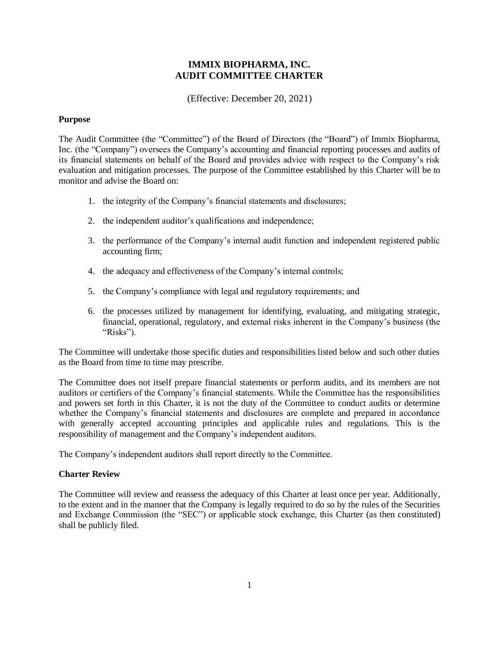# **IMMIX BIOPHARMA, INC. AUDIT COMMITTEE CHARTER**

(Effective: December 20, 2021)

# **Purpose**

The Audit Committee (the "Committee") of the Board of Directors (the "Board") of Immix Biopharma, Inc. (the "Company") oversees the Company's accounting and financial reporting processes and audits of its financial statements on behalf of the Board and provides advice with respect to the Company's risk evaluation and mitigation processes. The purpose of the Committee established by this Charter will be to monitor and advise the Board on:

- 1. the integrity of the Company's financial statements and disclosures;
- 2. the independent auditor's qualifications and independence;
- 3. the performance of the Company's internal audit function and independent registered public accounting firm;
- 4. the adequacy and effectiveness of the Company's internal controls;
- 5. the Company's compliance with legal and regulatory requirements; and
- 6. the processes utilized by management for identifying, evaluating, and mitigating strategic, financial, operational, regulatory, and external risks inherent in the Company's business (the "Risks").

The Committee will undertake those specific duties and responsibilities listed below and such other duties as the Board from time to time may prescribe.

The Committee does not itself prepare financial statements or perform audits, and its members are not auditors or certifiers of the Company's financial statements. While the Committee has the responsibilities and powers set forth in this Charter, it is not the duty of the Committee to conduct audits or determine whether the Company's financial statements and disclosures are complete and prepared in accordance with generally accepted accounting principles and applicable rules and regulations. This is the responsibility of management and the Company's independent auditors.

The Company's independent auditors shall report directly to the Committee.

# **Charter Review**

The Committee will review and reassess the adequacy of this Charter at least once per year. Additionally, to the extent and in the manner that the Company is legally required to do so by the rules of the Securities and Exchange Commission (the "SEC") or applicable stock exchange, this Charter (as then constituted) shall be publicly filed.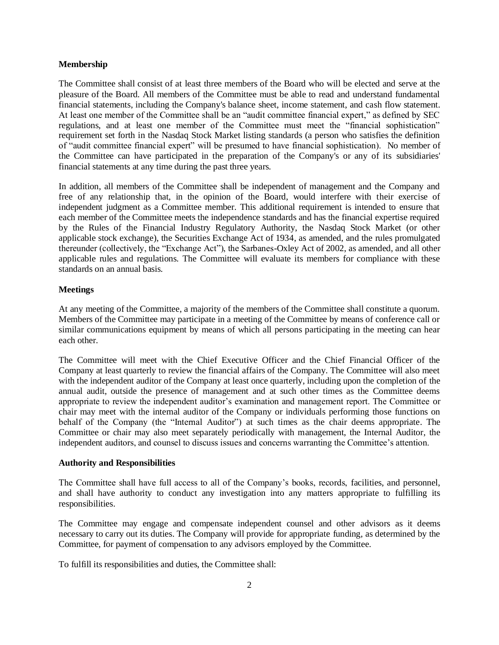# **Membership**

The Committee shall consist of at least three members of the Board who will be elected and serve at the pleasure of the Board. All members of the Committee must be able to read and understand fundamental financial statements, including the Company's balance sheet, income statement, and cash flow statement. At least one member of the Committee shall be an "audit committee financial expert," as defined by SEC regulations, and at least one member of the Committee must meet the "financial sophistication" requirement set forth in the Nasdaq Stock Market listing standards (a person who satisfies the definition of "audit committee financial expert" will be presumed to have financial sophistication). No member of the Committee can have participated in the preparation of the Company's or any of its subsidiaries' financial statements at any time during the past three years.

In addition, all members of the Committee shall be independent of management and the Company and free of any relationship that, in the opinion of the Board, would interfere with their exercise of independent judgment as a Committee member. This additional requirement is intended to ensure that each member of the Committee meets the independence standards and has the financial expertise required by the Rules of the Financial Industry Regulatory Authority, the Nasdaq Stock Market (or other applicable stock exchange), the Securities Exchange Act of 1934, as amended, and the rules promulgated thereunder (collectively, the "Exchange Act"), the Sarbanes-Oxley Act of 2002, as amended, and all other applicable rules and regulations. The Committee will evaluate its members for compliance with these standards on an annual basis.

# **Meetings**

At any meeting of the Committee, a majority of the members of the Committee shall constitute a quorum. Members of the Committee may participate in a meeting of the Committee by means of conference call or similar communications equipment by means of which all persons participating in the meeting can hear each other.

The Committee will meet with the Chief Executive Officer and the Chief Financial Officer of the Company at least quarterly to review the financial affairs of the Company. The Committee will also meet with the independent auditor of the Company at least once quarterly, including upon the completion of the annual audit, outside the presence of management and at such other times as the Committee deems appropriate to review the independent auditor's examination and management report. The Committee or chair may meet with the internal auditor of the Company or individuals performing those functions on behalf of the Company (the "Internal Auditor") at such times as the chair deems appropriate. The Committee or chair may also meet separately periodically with management, the Internal Auditor, the independent auditors, and counsel to discuss issues and concerns warranting the Committee's attention.

# **Authority and Responsibilities**

The Committee shall have full access to all of the Company's books, records, facilities, and personnel, and shall have authority to conduct any investigation into any matters appropriate to fulfilling its responsibilities.

The Committee may engage and compensate independent counsel and other advisors as it deems necessary to carry out its duties. The Company will provide for appropriate funding, as determined by the Committee, for payment of compensation to any advisors employed by the Committee.

To fulfill its responsibilities and duties, the Committee shall: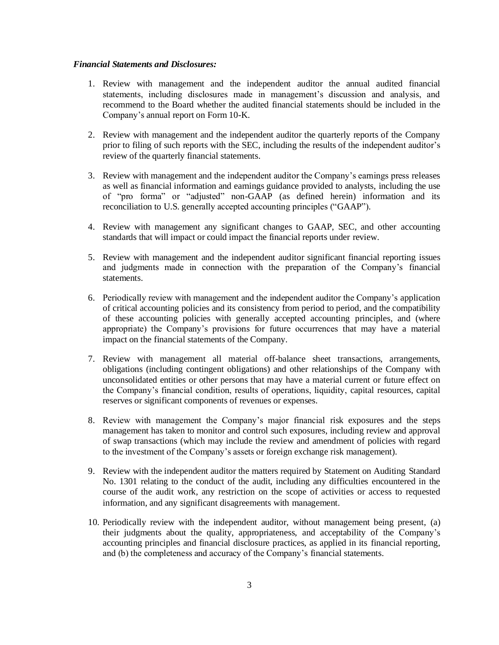# *Financial Statements and Disclosures:*

- 1. Review with management and the independent auditor the annual audited financial statements, including disclosures made in management's discussion and analysis, and recommend to the Board whether the audited financial statements should be included in the Company's annual report on Form 10-K.
- 2. Review with management and the independent auditor the quarterly reports of the Company prior to filing of such reports with the SEC, including the results of the independent auditor's review of the quarterly financial statements.
- 3. Review with management and the independent auditor the Company's earnings press releases as well as financial information and earnings guidance provided to analysts, including the use of "pro forma" or "adjusted" non-GAAP (as defined herein) information and its reconciliation to U.S. generally accepted accounting principles ("GAAP").
- 4. Review with management any significant changes to GAAP, SEC, and other accounting standards that will impact or could impact the financial reports under review.
- 5. Review with management and the independent auditor significant financial reporting issues and judgments made in connection with the preparation of the Company's financial statements.
- 6. Periodically review with management and the independent auditor the Company's application of critical accounting policies and its consistency from period to period, and the compatibility of these accounting policies with generally accepted accounting principles, and (where appropriate) the Company's provisions for future occurrences that may have a material impact on the financial statements of the Company.
- 7. Review with management all material off-balance sheet transactions, arrangements, obligations (including contingent obligations) and other relationships of the Company with unconsolidated entities or other persons that may have a material current or future effect on the Company's financial condition, results of operations, liquidity, capital resources, capital reserves or significant components of revenues or expenses.
- 8. Review with management the Company's major financial risk exposures and the steps management has taken to monitor and control such exposures, including review and approval of swap transactions (which may include the review and amendment of policies with regard to the investment of the Company's assets or foreign exchange risk management).
- 9. Review with the independent auditor the matters required by Statement on Auditing Standard No. 1301 relating to the conduct of the audit, including any difficulties encountered in the course of the audit work, any restriction on the scope of activities or access to requested information, and any significant disagreements with management.
- 10. Periodically review with the independent auditor, without management being present, (a) their judgments about the quality, appropriateness, and acceptability of the Company's accounting principles and financial disclosure practices, as applied in its financial reporting, and (b) the completeness and accuracy of the Company's financial statements.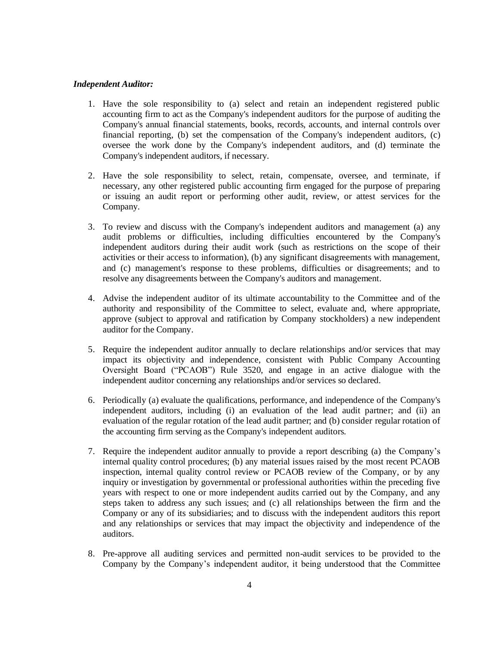#### *Independent Auditor:*

- 1. Have the sole responsibility to (a) select and retain an independent registered public accounting firm to act as the Company's independent auditors for the purpose of auditing the Company's annual financial statements, books, records, accounts, and internal controls over financial reporting, (b) set the compensation of the Company's independent auditors, (c) oversee the work done by the Company's independent auditors, and (d) terminate the Company's independent auditors, if necessary.
- 2. Have the sole responsibility to select, retain, compensate, oversee, and terminate, if necessary, any other registered public accounting firm engaged for the purpose of preparing or issuing an audit report or performing other audit, review, or attest services for the Company.
- 3. To review and discuss with the Company's independent auditors and management (a) any audit problems or difficulties, including difficulties encountered by the Company's independent auditors during their audit work (such as restrictions on the scope of their activities or their access to information), (b) any significant disagreements with management, and (c) management's response to these problems, difficulties or disagreements; and to resolve any disagreements between the Company's auditors and management.
- 4. Advise the independent auditor of its ultimate accountability to the Committee and of the authority and responsibility of the Committee to select, evaluate and, where appropriate, approve (subject to approval and ratification by Company stockholders) a new independent auditor for the Company.
- 5. Require the independent auditor annually to declare relationships and/or services that may impact its objectivity and independence, consistent with Public Company Accounting Oversight Board ("PCAOB") Rule 3520, and engage in an active dialogue with the independent auditor concerning any relationships and/or services so declared.
- 6. Periodically (a) evaluate the qualifications, performance, and independence of the Company's independent auditors, including (i) an evaluation of the lead audit partner; and (ii) an evaluation of the regular rotation of the lead audit partner; and (b) consider regular rotation of the accounting firm serving as the Company's independent auditors.
- 7. Require the independent auditor annually to provide a report describing (a) the Company's internal quality control procedures; (b) any material issues raised by the most recent PCAOB inspection, internal quality control review or PCAOB review of the Company, or by any inquiry or investigation by governmental or professional authorities within the preceding five years with respect to one or more independent audits carried out by the Company, and any steps taken to address any such issues; and (c) all relationships between the firm and the Company or any of its subsidiaries; and to discuss with the independent auditors this report and any relationships or services that may impact the objectivity and independence of the auditors.
- 8. Pre-approve all auditing services and permitted non-audit services to be provided to the Company by the Company's independent auditor, it being understood that the Committee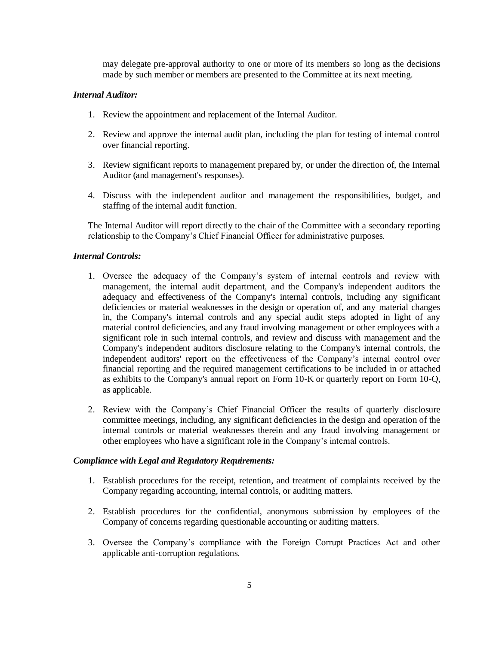may delegate pre-approval authority to one or more of its members so long as the decisions made by such member or members are presented to the Committee at its next meeting.

# *Internal Auditor:*

- 1. Review the appointment and replacement of the Internal Auditor.
- 2. Review and approve the internal audit plan, including the plan for testing of internal control over financial reporting.
- 3. Review significant reports to management prepared by, or under the direction of, the Internal Auditor (and management's responses).
- 4. Discuss with the independent auditor and management the responsibilities, budget, and staffing of the internal audit function.

The Internal Auditor will report directly to the chair of the Committee with a secondary reporting relationship to the Company's Chief Financial Officer for administrative purposes.

# *Internal Controls:*

- 1. Oversee the adequacy of the Company's system of internal controls and review with management, the internal audit department, and the Company's independent auditors the adequacy and effectiveness of the Company's internal controls, including any significant deficiencies or material weaknesses in the design or operation of, and any material changes in, the Company's internal controls and any special audit steps adopted in light of any material control deficiencies, and any fraud involving management or other employees with a significant role in such internal controls, and review and discuss with management and the Company's independent auditors disclosure relating to the Company's internal controls, the independent auditors' report on the effectiveness of the Company's internal control over financial reporting and the required management certifications to be included in or attached as exhibits to the Company's annual report on Form 10-K or quarterly report on Form 10-Q, as applicable.
- 2. Review with the Company's Chief Financial Officer the results of quarterly disclosure committee meetings, including, any significant deficiencies in the design and operation of the internal controls or material weaknesses therein and any fraud involving management or other employees who have a significant role in the Company's internal controls.

#### *Compliance with Legal and Regulatory Requirements:*

- 1. Establish procedures for the receipt, retention, and treatment of complaints received by the Company regarding accounting, internal controls, or auditing matters.
- 2. Establish procedures for the confidential, anonymous submission by employees of the Company of concerns regarding questionable accounting or auditing matters.
- 3. Oversee the Company's compliance with the Foreign Corrupt Practices Act and other applicable anti-corruption regulations.